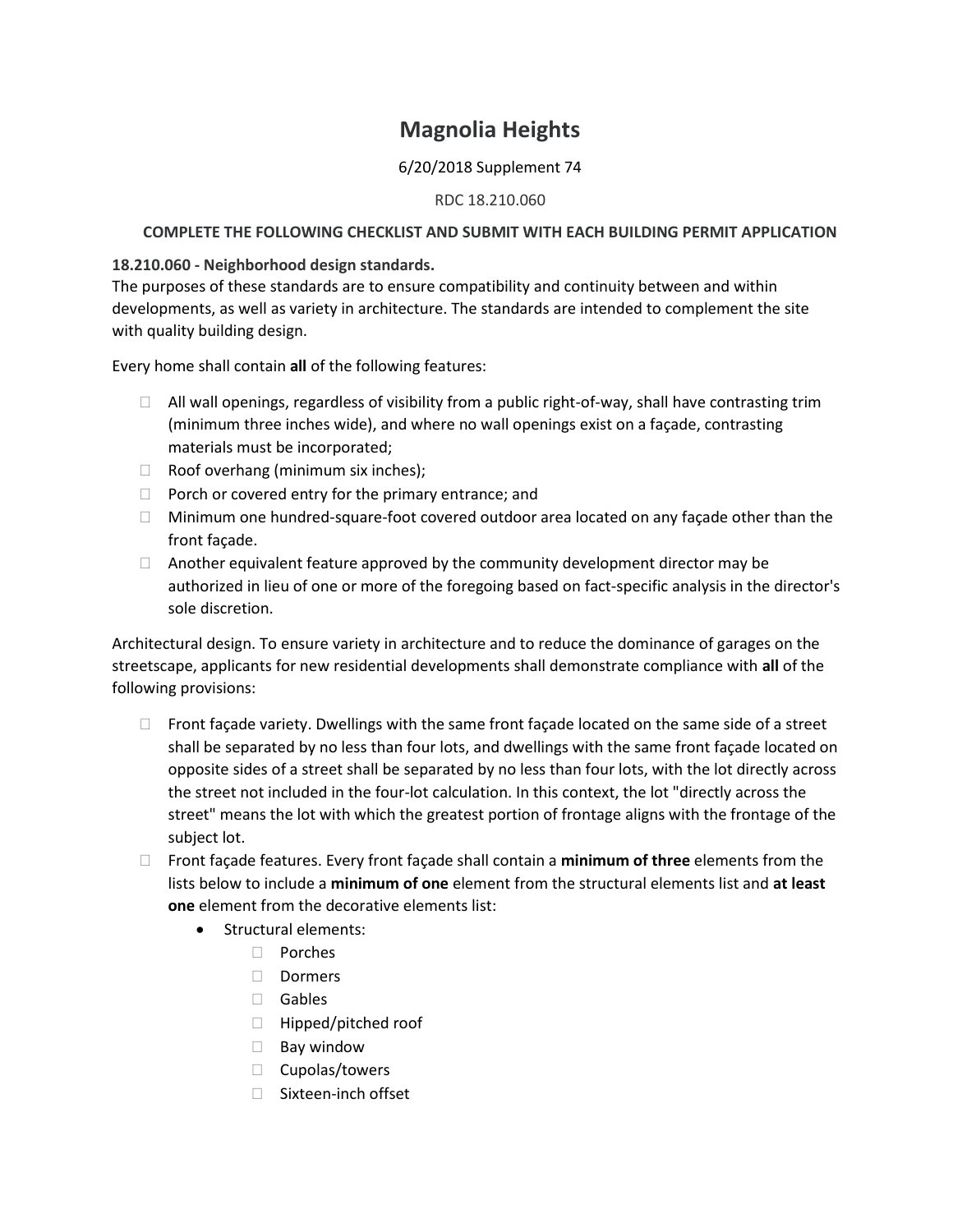# **Magnolia Heights**

## 6/20/2018 Supplement 74

#### RDC 18.210.060

#### **COMPLETE THE FOLLOWING CHECKLIST AND SUBMIT WITH EACH BUILDING PERMIT APPLICATION**

### **18.210.060 - Neighborhood design standards.**

The purposes of these standards are to ensure compatibility and continuity between and within developments, as well as variety in architecture. The standards are intended to complement the site with quality building design.

Every home shall contain **all** of the following features:

- $\Box$  All wall openings, regardless of visibility from a public right-of-way, shall have contrasting trim (minimum three inches wide), and where no wall openings exist on a façade, contrasting materials must be incorporated;
- $\Box$  Roof overhang (minimum six inches);
- $\Box$  Porch or covered entry for the primary entrance; and
- $\Box$  Minimum one hundred-square-foot covered outdoor area located on any facade other than the front façade.
- $\Box$  Another equivalent feature approved by the community development director may be authorized in lieu of one or more of the foregoing based on fact-specific analysis in the director's sole discretion.

Architectural design. To ensure variety in architecture and to reduce the dominance of garages on the streetscape, applicants for new residential developments shall demonstrate compliance with **all** of the following provisions:

- $\Box$  Front façade variety. Dwellings with the same front façade located on the same side of a street shall be separated by no less than four lots, and dwellings with the same front façade located on opposite sides of a street shall be separated by no less than four lots, with the lot directly across the street not included in the four-lot calculation. In this context, the lot "directly across the street" means the lot with which the greatest portion of frontage aligns with the frontage of the subject lot.
- Front façade features. Every front façade shall contain a **minimum of three** elements from the lists below to include a **minimum of one** element from the structural elements list and **at least one** element from the decorative elements list:
	- Structural elements:
		- □ Porches
		- Dormers
		- Gables
		- □ Hipped/pitched roof
		- $\Box$  Bay window
		- $\Box$  Cupolas/towers
		- □ Sixteen-inch offset